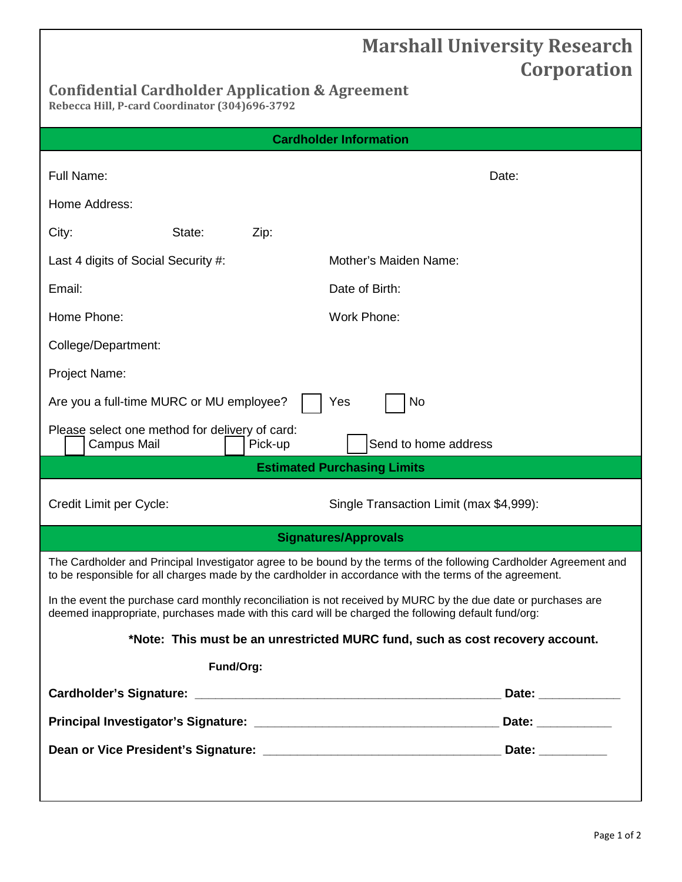## **Marshall University Research Corporation**

## **Confidential Cardholder Application & Agreement**

**Rebecca Hill, P-card Coordinator (304)696-3792**

| <b>Cardholder Information</b>                                                                                                                                                                                                 |                                         |  |
|-------------------------------------------------------------------------------------------------------------------------------------------------------------------------------------------------------------------------------|-----------------------------------------|--|
| Full Name:                                                                                                                                                                                                                    | Date:                                   |  |
| Home Address:                                                                                                                                                                                                                 |                                         |  |
| City:<br>State:<br>Zip:                                                                                                                                                                                                       |                                         |  |
| Last 4 digits of Social Security #:                                                                                                                                                                                           | Mother's Maiden Name:                   |  |
| Email:                                                                                                                                                                                                                        | Date of Birth:                          |  |
| Home Phone:                                                                                                                                                                                                                   | Work Phone:                             |  |
| College/Department:                                                                                                                                                                                                           |                                         |  |
| Project Name:                                                                                                                                                                                                                 |                                         |  |
| No<br>Are you a full-time MURC or MU employee?<br>Yes                                                                                                                                                                         |                                         |  |
| Please select one method for delivery of card:<br>Send to home address<br>Campus Mail<br>Pick-up                                                                                                                              |                                         |  |
| <b>Estimated Purchasing Limits</b>                                                                                                                                                                                            |                                         |  |
| Credit Limit per Cycle:                                                                                                                                                                                                       | Single Transaction Limit (max \$4,999): |  |
| <b>Signatures/Approvals</b>                                                                                                                                                                                                   |                                         |  |
| The Cardholder and Principal Investigator agree to be bound by the terms of the following Cardholder Agreement and<br>to be responsible for all charges made by the cardholder in accordance with the terms of the agreement. |                                         |  |
| In the event the purchase card monthly reconciliation is not received by MURC by the due date or purchases are<br>deemed inappropriate, purchases made with this card will be charged the following default fund/org:         |                                         |  |
| *Note: This must be an unrestricted MURC fund, such as cost recovery account.                                                                                                                                                 |                                         |  |
| Fund/Org:                                                                                                                                                                                                                     |                                         |  |
|                                                                                                                                                                                                                               | Date: _____________                     |  |
|                                                                                                                                                                                                                               |                                         |  |
|                                                                                                                                                                                                                               |                                         |  |
|                                                                                                                                                                                                                               |                                         |  |